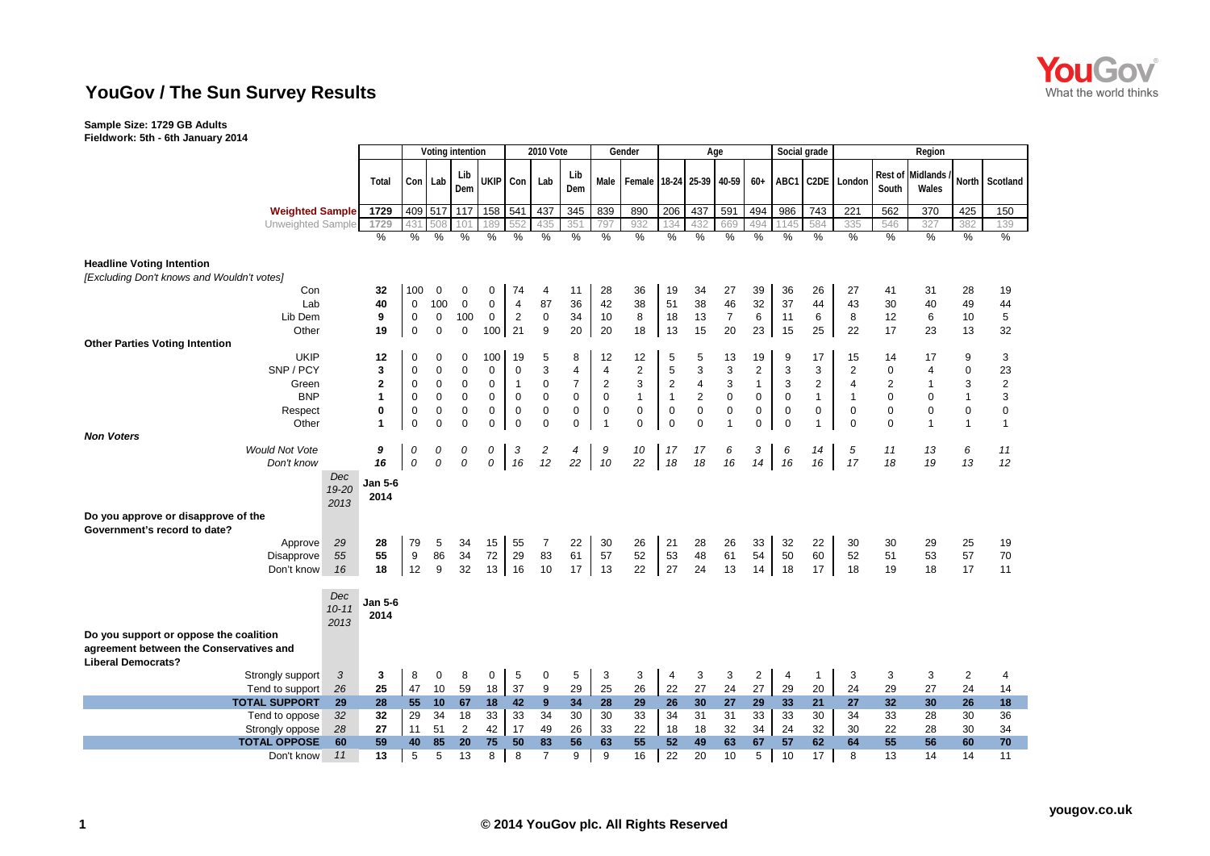

## **YouGov / The Sun Survey Results**

## **Sample Size: 1729 GB Adults**

**Fieldwork: 5th - 6th January 2014**

|                                                                                                                |                 | Voting intention |                  |                  |                  |                | <b>2010 Vote</b> | Gender<br>Social grade<br>Age |                         |                    |                |                |                | Region                  |             |                |                         |                         |                   |                |                |
|----------------------------------------------------------------------------------------------------------------|-----------------|------------------|------------------|------------------|------------------|----------------|------------------|-------------------------------|-------------------------|--------------------|----------------|----------------|----------------|-------------------------|-------------|----------------|-------------------------|-------------------------|-------------------|----------------|----------------|
|                                                                                                                | Total           |                  | Con Lab          | Lib<br>Dem       | <b>UKIP</b>      | Con            | Lab              | Lib<br>Dem                    | Male                    | Female 18-24 25-39 |                |                | 40-59          | $60+$                   | ABC1        |                | C2DE London             | Rest of<br>South        | Midlands<br>Wales | North          | Scotland       |
| <b>Weighted Sample</b>                                                                                         | 1729            | 409              | 517              | 117              | 158              | 541            | 437              | 345                           | 839                     | 890                | 206            | 437            | 591            | 494                     | 986         | 743            | 221                     | 562                     | 370               | 425            | 150            |
| Unweighted Sample                                                                                              | 1729            | 431              | 508              | 101              | 189              | 552            | 435              | 351                           | 797                     | 932                | 134            | 432            | 669            | 494                     |             | 584            | 335                     | 546                     | 327               | 382            | 139            |
|                                                                                                                | %               | $\%$             | $\frac{0}{0}$    | $\frac{0}{0}$    | %                | %              | $\frac{0}{0}$    | $\%$                          | %                       | $\%$               | $\frac{0}{0}$  | $\%$           | $\frac{0}{0}$  | $\frac{0}{0}$           | %           | $\frac{0}{0}$  | $\%$                    | %                       | $\%$              | $\%$           | $\frac{0}{0}$  |
| <b>Headline Voting Intention</b><br>[Excluding Don't knows and Wouldn't votes]                                 |                 |                  |                  |                  |                  |                |                  |                               |                         |                    |                |                |                |                         |             |                |                         |                         |                   |                |                |
| Con                                                                                                            | 32              | 100              | $\Omega$         | 0                | 0                | 74             | 4                | 11                            | 28                      | 36                 | 19             | 34             | 27             | 39                      | 36          | 26             | 27                      | 41                      | 31                | 28             | 19             |
| Lab                                                                                                            | 40              | 0                | 100              | $\mathbf 0$      | 0                | $\overline{4}$ | 87               | 36                            | 42                      | 38                 | 51             | 38             | 46             | 32                      | 37          | 44             | 43                      | 30                      | 40                | 49             | 44             |
| Lib Dem                                                                                                        | 9               | 0                | 0                | 100              | 0                | $\overline{2}$ | $\mathbf 0$      | 34                            | 10                      | 8                  | 18             | 13             | $\overline{7}$ | 6                       | 11          | 6              | 8                       | 12                      | 6                 | 10             | 5              |
| Other                                                                                                          | 19              | $\mathbf 0$      | $\mathbf 0$      | $\mathbf 0$      | 100 <sup>1</sup> | 21             | 9                | 20                            | 20                      | 18                 | 13             | 15             | 20             | 23                      | 15          | 25             | 22                      | 17                      | 23                | 13             | 32             |
| <b>Other Parties Voting Intention</b>                                                                          |                 |                  |                  |                  |                  |                |                  |                               |                         |                    |                |                |                |                         |             |                |                         |                         |                   |                |                |
| <b>UKIP</b>                                                                                                    | 12              | 0                | $\mathbf 0$      | 0                | 100              | 19             | 5                | 8                             | 12                      | 12                 | 5              | 5              | 13             | 19                      | 9           | 17             | 15                      | 14                      | 17                | 9              | 3              |
| SNP / PCY                                                                                                      | 3               | 0                | $\boldsymbol{0}$ | $\boldsymbol{0}$ | $\mathbf 0$      | $\mathbf 0$    | 3                | 4                             | $\overline{\mathbf{4}}$ | $\mathbf 2$        | 5              | 3              | 3              | $\overline{\mathbf{c}}$ | 3           | 3              | $\overline{\mathbf{c}}$ | 0                       | $\overline{4}$    | $\mathbf 0$    | 23             |
| Green                                                                                                          | 2               | $\boldsymbol{0}$ | $\pmb{0}$        | $\mathbf 0$      | $\mathbf 0$      | $\mathbf{1}$   | $\pmb{0}$        | $\overline{7}$                | $\overline{2}$          | 3                  | $\sqrt{2}$     | 4              | 3              | $\mathbf{1}$            | 3           | $\overline{2}$ | $\overline{4}$          | $\overline{\mathbf{c}}$ |                   | 3              | $\overline{2}$ |
| <b>BNP</b>                                                                                                     | 1               | $\boldsymbol{0}$ | $\mathbf 0$      | $\boldsymbol{0}$ | $\mathbf 0$      | $\mathbf 0$    | $\boldsymbol{0}$ | 0                             | $\mathbf 0$             | $\mathbf{1}$       | $\mathbf{1}$   | $\overline{2}$ | $\mathsf 0$    | 0                       | $\mathbf 0$ | $\mathbf{1}$   | $\mathbf{1}$            | 0                       | 0                 | $\mathbf{1}$   | 3              |
| Respect                                                                                                        | 0               | $\pmb{0}$        | $\pmb{0}$        | $\mathbf 0$      | 0                | $\mathbf 0$    | $\boldsymbol{0}$ | 0                             | $\mathbf 0$             | $\mathbf 0$        | 0              | $\mathbf 0$    | $\pmb{0}$      | 0                       | $\mathbf 0$ | 0              | 0                       | 0                       | $\mathbf 0$       | $\pmb{0}$      | $\mathbf 0$    |
| Other                                                                                                          | 1               | $\mathbf 0$      | $\mathbf 0$      | $\mathbf 0$      | $\mathbf 0$      | $\mathbf{0}$   | $\mathbf 0$      | 0                             | $\overline{1}$          | $\mathbf 0$        | $\mathbf 0$    | $\mathbf 0$    | $\overline{1}$ | $\mathbf 0$             | $\Omega$    | 1              | $\mathbf 0$             | 0                       | $\overline{1}$    | $\mathbf{1}$   | $\mathbf{1}$   |
| <b>Non Voters</b>                                                                                              |                 |                  |                  |                  |                  |                |                  |                               |                         |                    |                |                |                |                         |             |                |                         |                         |                   |                |                |
| <b>Would Not Vote</b>                                                                                          | 9               | 0                | 0                | 0                | 0                | 3              | 2                | 4                             | 9                       | 10                 | 17             | 17             | 6              | 3                       | 6           | 14             | 5                       | 11                      | 13                | 6              | 11             |
| Don't know                                                                                                     | 16              | 0                | 0                | 0                | 0                | 16             | 12               | 22                            | 10                      | 22                 | 18             | 18             | 16             | 14                      | 16          | 16             | 17                      | 18                      | 19                | 13             | 12             |
| Dec                                                                                                            |                 |                  |                  |                  |                  |                |                  |                               |                         |                    |                |                |                |                         |             |                |                         |                         |                   |                |                |
| 19-20<br>2013<br>Do you approve or disapprove of the                                                           | Jan 5-6<br>2014 |                  |                  |                  |                  |                |                  |                               |                         |                    |                |                |                |                         |             |                |                         |                         |                   |                |                |
|                                                                                                                |                 |                  |                  |                  |                  |                |                  |                               |                         |                    |                |                |                |                         |             |                |                         |                         |                   |                |                |
| Government's record to date?<br>29                                                                             |                 |                  |                  |                  |                  |                |                  |                               |                         |                    |                |                |                |                         |             | 22             |                         |                         |                   |                |                |
| Approve<br>55                                                                                                  | 28<br>55        | 79               | 5<br>86          | 34<br>34         | 15<br>72         | 55<br>29       | 7<br>83          | 22<br>61                      | 30                      | 26<br>52           | 21             | 28<br>48       | 26             | 33<br>54                | 32          | 60             | 30                      | 30                      | 29                | 25<br>57       | 19             |
| Disapprove<br>16<br>Don't know                                                                                 | 18              | 9<br>12          | 9                | 32               | 13               | 16             | 10               | 17                            | 57<br>13                | 22                 | 53<br>27       | 24             | 61<br>13       | 14                      | 50<br>18    | 17             | 52<br>18                | 51<br>19                | 53<br>18          | 17             | 70<br>11       |
|                                                                                                                |                 |                  |                  |                  |                  |                |                  |                               |                         |                    |                |                |                |                         |             |                |                         |                         |                   |                |                |
| Dec<br>$10 - 11$<br>2013                                                                                       | Jan 5-6<br>2014 |                  |                  |                  |                  |                |                  |                               |                         |                    |                |                |                |                         |             |                |                         |                         |                   |                |                |
| Do you support or oppose the coalition<br>agreement between the Conservatives and<br><b>Liberal Democrats?</b> |                 |                  |                  |                  |                  |                |                  |                               |                         |                    |                |                |                |                         |             |                |                         |                         |                   |                |                |
| 3<br>Strongly support                                                                                          | 3               | 8                | $\mathbf 0$      | 8                | 0                | 5              | $\mathbf 0$      | 5                             | 3                       | 3                  | $\overline{4}$ | 3              | 3              | $\overline{c}$          | 4           | $\mathbf{1}$   | 3                       | 3                       | 3                 | $\overline{2}$ | 4              |
| 26<br>Tend to support                                                                                          | 25              | 47               | 10               | 59               | 18               | 37             | 9                | 29                            | 25                      | 26                 | 22             | 27             | 24             | 27                      | 29          | 20             | 24                      | 29                      | 27                | 24             | 14             |
| <b>TOTAL SUPPORT</b><br>29                                                                                     | 28              | 55               | 10               | 67               | 18               | 42             | 9                | 34                            | 28                      | 29                 | 26             | 30             | 27             | 29                      | 33          | 21             | 27                      | 32 <sub>2</sub>         | 30                | 26             | 18             |
| Tend to oppose<br>32                                                                                           | 32              | 29               | 34               | 18               | 33               | 33             | 34               | 30                            | 30                      | 33                 | 34             | 31             | 31             | 33                      | 33          | 30             | 34                      | 33                      | 28                | 30             | 36             |
| 28<br>Strongly oppose                                                                                          | 27              | 11               | 51               | 2                | 42               | 17             | 49               | 26                            | 33                      | 22                 | 18             | 18             | 32             | 34                      | 24          | 32             | 30                      | 22                      | 28                | 30             | 34             |
| <b>TOTAL OPPOSE</b><br>60                                                                                      | 59              | 40               | 85               | 20               | 75               | 50             | 83               | 56                            | 63                      | 55                 | 52             | 49             | 63             | 67                      | 57          | 62             | 64                      | 55                      | 56                | 60             | 70             |
| 11<br>Don't know                                                                                               | 13              | 5                | 5                | 13               | 8                | 8              | $\overline{7}$   | 9                             | 9                       | 16                 | 22             | 20             | 10             | 5                       | 10          | 17             | 8                       | 13                      | 14                | 14             | 11             |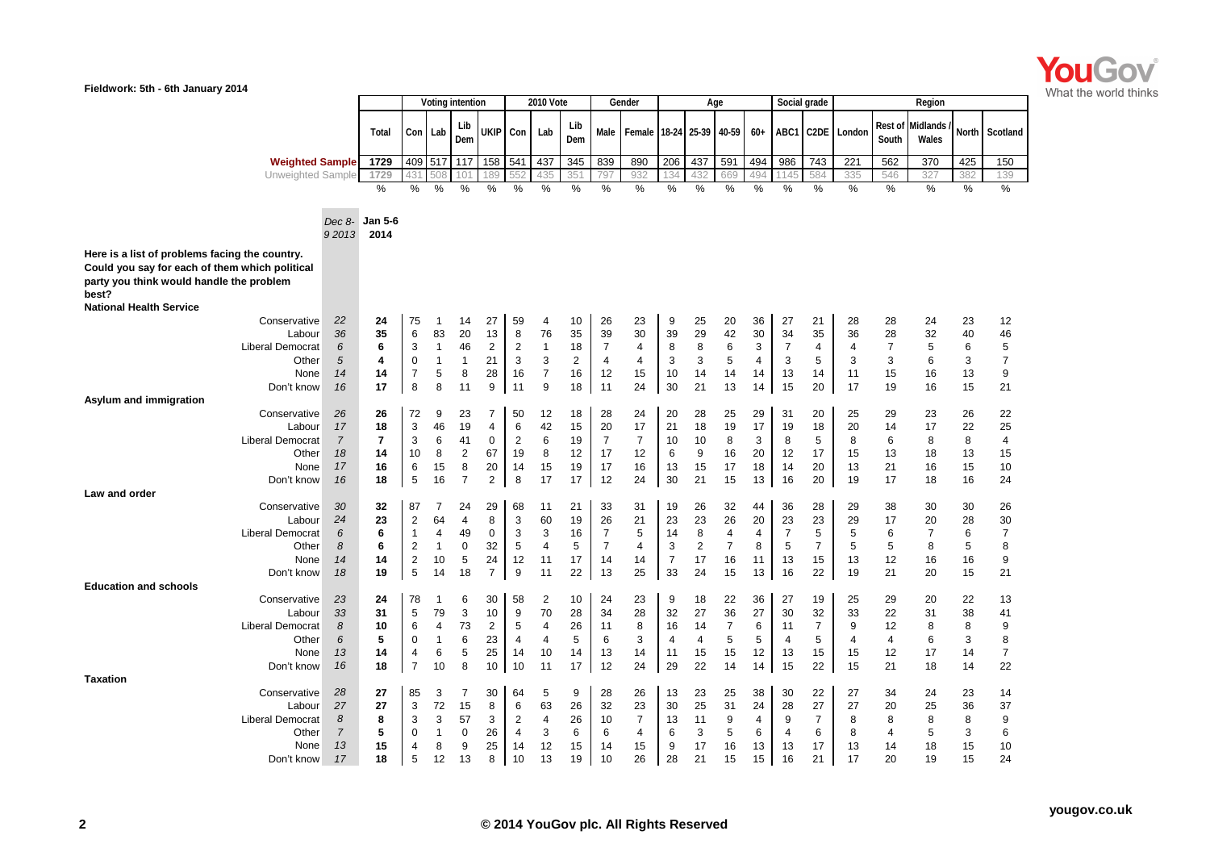

| Fieldwork: 5th - 6th January 2014                                                                                                                     |                |                |                  |                |                 |                  |                |                |                |                |                    |                |                |                |              |                |                |                |                  |                   |              |                |
|-------------------------------------------------------------------------------------------------------------------------------------------------------|----------------|----------------|------------------|----------------|-----------------|------------------|----------------|----------------|----------------|----------------|--------------------|----------------|----------------|----------------|--------------|----------------|----------------|----------------|------------------|-------------------|--------------|----------------|
|                                                                                                                                                       |                |                | Voting intention |                |                 | <b>2010 Vote</b> |                |                | Gender         |                | Age                |                |                |                | Social grade |                |                | Region         |                  |                   |              |                |
|                                                                                                                                                       |                | Total          |                  | Con Lab        | Lib<br>Dem      | <b>UKIP</b>      | Con            | Lab            | Lib<br>Dem     | Male           | Female 18-24 25-39 |                |                | 40-59          | $60+$        | ABC1           |                | C2DE Londor    | Rest of<br>South | Midlands<br>Wales | <b>North</b> | Scotland       |
| <b>Weighted Sample</b>                                                                                                                                |                | 1729           | 409              | 517            | 117             | 158              | 541            | 437            | 345            | 839            | 890                | 206            | 437            | 591            | 494          | 986            | 743            | 221            | 562              | 370               | 425          | 150            |
| Unweighted Sample                                                                                                                                     |                | 1729           | 43               |                | 10 <sup>1</sup> | 189              |                |                | 35'            | 79             | 932                | 134            | 432            | 669            | 49,          |                | 584            | 335            | 546              | 327               | 382          | 139            |
|                                                                                                                                                       |                | $\%$           | $\%$             | %              | $\frac{0}{0}$   | %                | %              | %              | %              | %              | %                  | %              | $\%$           | $\%$           | $\%$         | $\%$           | $\%$           | $\%$           | %                | %                 | %            | %              |
|                                                                                                                                                       | Dec 8-         | <b>Jan 5-6</b> |                  |                |                 |                  |                |                |                |                |                    |                |                |                |              |                |                |                |                  |                   |              |                |
|                                                                                                                                                       | 92013          | 2014           |                  |                |                 |                  |                |                |                |                |                    |                |                |                |              |                |                |                |                  |                   |              |                |
| Here is a list of problems facing the country.<br>Could you say for each of them which political<br>party you think would handle the problem<br>best? |                |                |                  |                |                 |                  |                |                |                |                |                    |                |                |                |              |                |                |                |                  |                   |              |                |
| <b>National Health Service</b>                                                                                                                        |                |                |                  |                |                 |                  |                |                |                |                |                    |                |                |                |              |                |                |                |                  |                   |              |                |
| Conservative                                                                                                                                          | 22             | 24             | 75               | -1             | 14              | 27               | 59             | 4              | 10             | 26             | 23                 | 9              | 25             | 20             | 36           | 27             | 21             | 28             | 28               | 24                | 23           | 12             |
| Labour                                                                                                                                                | 36             | 35             | 6                | 83             | 20              | 13               | 8              | 76             | 35             | 39             | 30                 | 39             | 29             | 42             | 30           | 34             | 35             | 36             | 28               | 32                | 40           | 46             |
| <b>Liberal Democrat</b>                                                                                                                               | 6              | 6              | 3                | $\mathbf{1}$   | 46              | $\overline{2}$   | 2              | $\mathbf{1}$   | 18             | $\overline{7}$ | 4                  | 8              | 8              | 6              | 3            | $\overline{7}$ | 4              | 4              | $\overline{7}$   | 5                 | 6            | 5              |
| Other                                                                                                                                                 | 5              | 4              | $\mathbf 0$      | $\mathbf{1}$   | $\mathbf{1}$    | 21               | 3              | 3              | $\overline{2}$ | $\overline{4}$ | $\overline{4}$     | 3              | 3              | 5              | 4            | 3              | 5              | 3              | 3                | 6                 | 3            | $\overline{7}$ |
| None                                                                                                                                                  | 14             | 14             | $\overline{7}$   | 5              | 8               | 28               | 16             | $\overline{7}$ | 16             | 12             | 15                 | 10             | 14             | 14             | 14           | 13             | 14             | 11             | 15               | 16                | 13           | 9              |
| Don't know                                                                                                                                            | 16             | 17             | 8                | 8              | 11              | 9                | 11             | 9              | 18             | 11             | 24                 | 30             | 21             | 13             | 14           | 15             | 20             | 17             | 19               | 16                | 15           | 21             |
| Asylum and immigration                                                                                                                                |                |                |                  | 9              |                 | 7                |                |                |                |                |                    |                |                |                |              |                |                |                |                  |                   |              |                |
| Conservative<br>Labour                                                                                                                                | 26<br>17       | 26<br>18       | 72<br>3          | 46             | 23<br>19        | $\overline{4}$   | 50<br>6        | 12<br>42       | 18<br>15       | 28<br>20       | 24<br>17           | 20<br>21       | 28<br>18       | 25<br>19       | 29<br>17     | 31<br>19       | 20<br>18       | 25<br>20       | 29<br>14         | 23<br>17          | 26<br>22     | 22<br>25       |
| <b>Liberal Democrat</b>                                                                                                                               | $\overline{7}$ | $\overline{7}$ | 3                | 6              | 41              | $\mathbf 0$      | $\overline{c}$ | 6              | 19             | $\overline{7}$ | $\overline{7}$     | 10             | 10             | 8              | 3            | 8              | 5              | 8              | 6                | 8                 | 8            | $\overline{4}$ |
| Other                                                                                                                                                 | 18             | 14             | 10               | 8              | $\mathbf{2}$    | 67               | 19             | 8              | 12             | 17             | 12                 | 6              | 9              | 16             | 20           | 12             | 17             | 15             | 13               | 18                | 13           | 15             |
| None                                                                                                                                                  | 17             | 16             | 6                | 15             | 8               | 20               | 14             | 15             | 19             | 17             | 16                 | 13             | 15             | 17             | 18           | 14             | 20             | 13             | 21               | 16                | 15           | 10             |
| Don't know                                                                                                                                            | 16             | 18             | 5                | 16             | $\overline{7}$  | 2                | 8              | 17             | 17             | 12             | 24                 | 30             | 21             | 15             | 13           | 16             | 20             | 19             | 17               | 18                | 16           | 24             |
| Law and order                                                                                                                                         |                |                |                  |                |                 |                  |                |                |                |                |                    |                |                |                |              |                |                |                |                  |                   |              |                |
| Conservative                                                                                                                                          | 30             | 32             | 87               | 7              | 24              | 29               | 68             | 11             | 21             | 33             | 31                 | 19             | 26             | 32             | 44           | 36             | 28             | 29             | 38               | 30                | 30           | 26             |
| Labour                                                                                                                                                | 24             | 23             | $\overline{2}$   | 64             | 4               | 8                | 3              | 60             | 19             | 26             | 21                 | 23             | 23             | 26             | 20           | 23             | 23             | 29             | 17               | 20                | 28           | 30             |
| <b>Liberal Democrat</b>                                                                                                                               | 6              | 6              | $\mathbf{1}$     | 4              | 49              | $\mathbf 0$      | 3              | 3              | 16             | $\overline{7}$ | 5                  | 14             | 8              | 4              | 4            | 7              | 5              | 5              | 6                | $\overline{7}$    | 6            | $\overline{7}$ |
| Other                                                                                                                                                 | 8              | 6              | $\overline{2}$   | $\mathbf{1}$   | $\mathbf 0$     | 32               | 5              | $\overline{4}$ | 5              | $\overline{7}$ | $\overline{4}$     | 3              | $\overline{2}$ | $\overline{7}$ | 8            | 5              | $\overline{7}$ | 5              | 5                | 8                 | 5            | 8              |
| None                                                                                                                                                  | 14             | 14             | $\overline{2}$   | 10             | 5               | 24               | 12             | 11             | 17             | 14             | 14                 | $\overline{7}$ | 17             | 16             | 11           | 13             | 15             | 13             | 12               | 16                | 16           | 9              |
| Don't know                                                                                                                                            | 18             | 19             | 5                | 14             | 18              | $\overline{7}$   | 9              | 11             | 22             | 13             | 25                 | 33             | 24             | 15             | 13           | 16             | 22             | 19             | 21               | 20                | 15           | 21             |
| <b>Education and schools</b>                                                                                                                          |                |                |                  |                |                 |                  |                |                |                |                |                    |                |                |                |              |                |                |                |                  |                   |              |                |
| Conservative<br>Labour                                                                                                                                | 23<br>33       | 24<br>31       | 78<br>5          | -1<br>79       | 6<br>3          | 30<br>10         | 58<br>9        | 2<br>70        | 10<br>28       | 24<br>34       | 23<br>28           | 9<br>32        | 18<br>27       | 22<br>36       | 36<br>27     | 27<br>30       | 19<br>32       | 25<br>33       | 29<br>22         | 20<br>31          | 22<br>38     | 13<br>41       |
| <b>Liberal Democrat</b>                                                                                                                               | 8              | 10             | 6                | $\overline{4}$ | 73              | $\overline{2}$   | 5              | $\overline{4}$ | 26             | 11             | 8                  | 16             | 14             | $\overline{7}$ | 6            | 11             | $\overline{7}$ | 9              | 12               | 8                 | 8            | 9              |
| Other                                                                                                                                                 | 6              | 5              | 0                | $\mathbf{1}$   | 6               | 23               | $\overline{4}$ | $\overline{4}$ | 5              | 6              | 3                  | 4              | $\overline{4}$ | 5              | 5            | 4              | 5              | $\overline{4}$ | 4                | 6                 | 3            | 8              |
| None                                                                                                                                                  | 13             | 14             | 4                | 6              | 5               | 25               | 14             | 10             | 14             | 13             | 14                 | 11             | 15             | 15             | 12           | 13             | 15             | 15             | 12               | 17                | 14           | $\overline{7}$ |
| Don't know                                                                                                                                            | 16             | 18             | $\overline{7}$   | 10             | 8               | 10               | 10             | 11             | 17             | 12             | 24                 | 29             | 22             | 14             | 14           | 15             | 22             | 15             | 21               | 18                | 14           | 22             |
| <b>Taxation</b>                                                                                                                                       |                |                |                  |                |                 |                  |                |                |                |                |                    |                |                |                |              |                |                |                |                  |                   |              |                |
| Conservative                                                                                                                                          | 28             | 27             | 85               | 3              | $\overline{7}$  | 30               | 64             | 5              | 9              | 28             | 26                 | 13             | 23             | 25             | 38           | 30             | 22             | 27             | 34               | 24                | 23           | 14             |
| Labour                                                                                                                                                | 27             | 27             | 3                | 72             | 15              | 8                | 6              | 63             | 26             | 32             | 23                 | 30             | 25             | 31             | 24           | 28             | 27             | 27             | 20               | 25                | 36           | 37             |
| <b>Liberal Democrat</b>                                                                                                                               | 8              | 8              | 3                | 3              | 57              | 3                | $\overline{2}$ | 4              | 26             | 10             | $\overline{7}$     | 13             | 11             | 9              | 4            | 9              | $\overline{7}$ | 8              | 8                | 8                 | 8            | 9              |
| Other                                                                                                                                                 | $\overline{7}$ | 5              | 0                | $\mathbf{1}$   | 0               | 26               | $\overline{4}$ | 3              | 6              | 6              | 4                  | 6              | 3              | 5              | 6            | $\overline{4}$ | 6              | 8              | 4                | 5                 | 3            | 6              |
| None                                                                                                                                                  | 13             | 15             | 4                | 8              | 9               | 25               | 14             | 12             | 15             | 14             | 15                 | 9              | 17             | 16             | 13           | 13             | 17             | 13             | 14               | 18                | 15           | 10             |
| Don't know                                                                                                                                            | 17             | 18             | 5                | 12             | 13              | 8                | 10             | 13             | 19             | 10             | 26                 | 28             | 21             | 15             | 15           | 16             | 21             | 17             | 20               | 19                | 15           | 24             |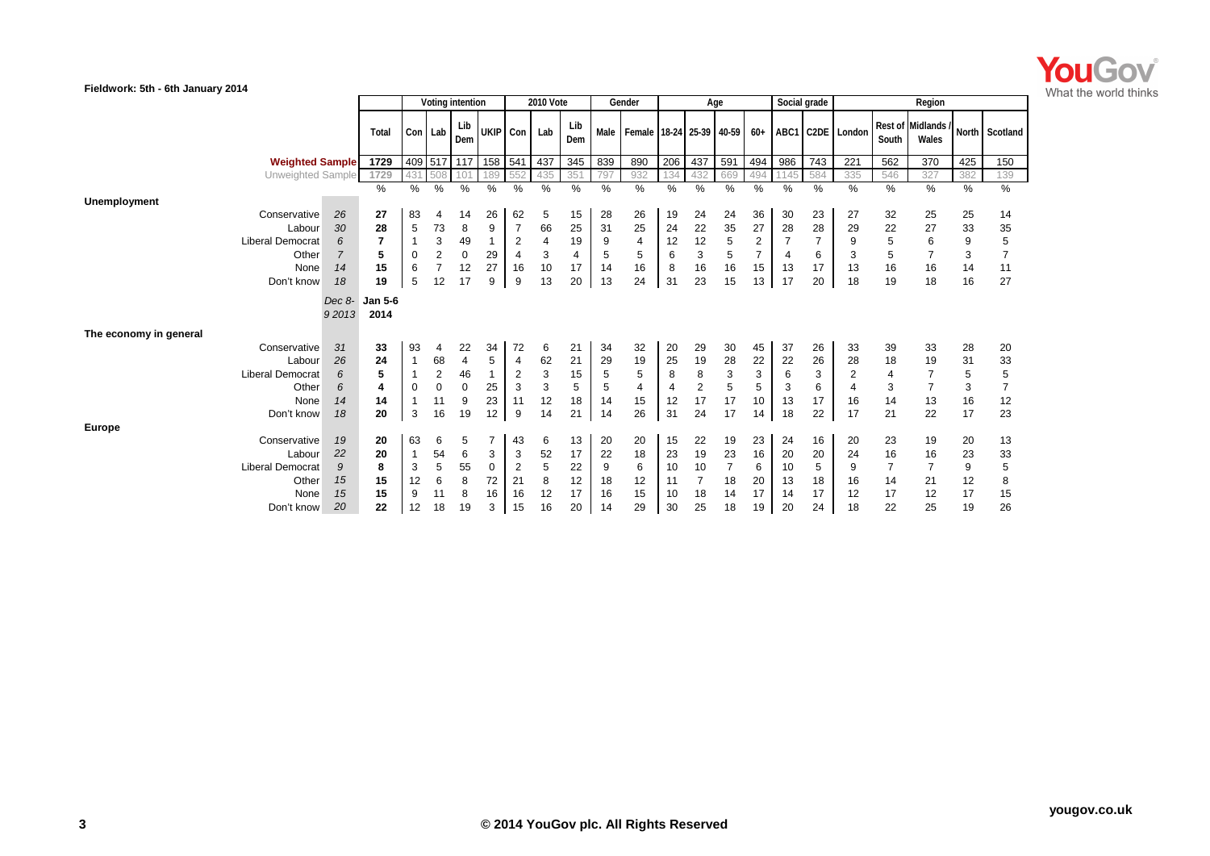

| Fieldwork: 5th - 6th January 2014            |                        |                 |                |                  |                |                      |                           |                |         |                                       |          |                      |                      |                |              |                |                  |                      |                                  |         |                |
|----------------------------------------------|------------------------|-----------------|----------------|------------------|----------------|----------------------|---------------------------|----------------|---------|---------------------------------------|----------|----------------------|----------------------|----------------|--------------|----------------|------------------|----------------------|----------------------------------|---------|----------------|
|                                              |                        |                 |                | Voting intention |                |                      | <b>2010 Vote</b>          |                |         | Gender                                |          |                      | Age                  |                | Social grade |                |                  |                      | Region                           |         |                |
|                                              | Total                  |                 | Con Lab        | Lib<br>Dem       | UKIP Con       |                      | Lab                       | Lib<br>Dem     |         | Male   Female   18-24   25-39   40-59 |          |                      |                      | $60+$          |              |                | ABC1 C2DE London | South                | <b>Rest of Midlands</b><br>Wales |         | North Scotland |
| <b>Weighted Sample</b>                       | 1729                   |                 |                | 409 517 117      | 158 541        |                      | 437                       | 345            | 839     | 890                                   | 206      | 437                  | 591                  | 494            | 986          | 743            | 221              | 562                  | 370                              | 425     | 150            |
| Unweighted Sample                            | 1729                   | 431             | 508            | 101              | 189            | 552                  | 435                       | 351            | 797     | 932                                   | 134      | 432                  | 669                  | 494            | 1145         | 584            | 335              | 546                  | 327                              | 382     | 139            |
| Unemployment                                 | $\%$                   | %               | %              | %                | %              | $\frac{0}{0}$        | %                         | $\%$           | $\%$    | %                                     | %        | $\%$                 | %                    | $\%$           | $\%$         | %              | $\%$             | %                    | %                                | %       | %              |
| 26<br>Conservative                           | 27                     | 83              | 4              | 14               | 26             | 62                   | 5                         | 15             | 28      | 26                                    | 19       | 24                   | 24                   | 36             | 30           | 23             | 27               | 32                   | 25                               | 25      | 14             |
| 30<br>Labour                                 | 28                     | 5               | 73             | 8                | 9              | $\overline{7}$       | 66                        | 25             | 31      | 25                                    | 24       | 22                   | 35                   | 27             | 28           | 28             | 29               | 22                   | 27                               | 33      | 35             |
| 6<br><b>Liberal Democrat</b>                 | $\overline{7}$         | $\mathbf{1}$    | 3              | 49               | $\mathbf{1}$   | $\overline{2}$       | $\overline{4}$            | 19             | 9       | $\overline{4}$                        | 12       | 12                   | 5                    | $\overline{2}$ |              | $\overline{7}$ | 9                | 5                    | 6                                | 9       | 5              |
| $\overline{7}$<br>Other                      | 5                      | $\pmb{0}$       | $\overline{c}$ | $\mathbf 0$      | 29             | 4                    | 3                         | $\overline{4}$ | 5       | 5                                     | 6        | 3                    | 5                    | $\overline{7}$ | 4            | 6              | 3                | 5                    | $\overline{7}$                   | 3       | $\overline{7}$ |
| 14<br>None                                   | 15                     | $6\phantom{1}6$ | $\overline{7}$ | 12               | 27             | 16                   | 10                        | 17             | 14      | 16                                    | 8        | 16                   | 16                   | 15             | 13           | 17             | 13               | 16                   | 16                               | 14      | 11             |
| Don't know<br>18                             | 19                     | 5               | 12             | 17               | 9              | 9                    | 13                        | 20             | 13      | 24                                    | 31       | 23                   | 15                   | 13             | 17           | 20             | 18               | 19                   | 18                               | 16      | 27             |
| Dec 8-<br>92013                              | <b>Jan 5-6</b><br>2014 |                 |                |                  |                |                      |                           |                |         |                                       |          |                      |                      |                |              |                |                  |                      |                                  |         |                |
| The economy in general                       |                        |                 |                |                  |                |                      |                           |                |         |                                       |          |                      |                      |                |              |                |                  |                      |                                  |         |                |
| Conservative<br>31                           | 33                     | 93              | 4              | 22               | 34             | 72                   | 6                         | 21             | 34      | 32                                    | 20       | 29                   | 30                   | 45             | 37           | 26             | 33               | 39                   | 33                               | 28      | 20             |
| 26<br>Labour                                 | 24                     | $\mathbf{1}$    | 68             | $\overline{4}$   | $\mathbf 5$    | $\overline{4}$       | 62                        | 21             | 29      | 19                                    | 25       | 19                   | 28                   | 22             | 22           | 26             | 28               | 18                   | 19                               | 31      | 33             |
| 6<br><b>Liberal Democrat</b>                 | 5                      | $\mathbf{1}$    | $\overline{c}$ | 46               | $\mathbf{1}$   | $\overline{c}$       | $\ensuremath{\mathsf{3}}$ | 15             | 5       | 5                                     | 8        | 8                    | 3                    | 3              | 6            | 3              | 2                | 4                    | $\overline{7}$                   | 5       | 5              |
| 6<br>Other                                   | 4                      | $\pmb{0}$       | 0              | $\mathbf 0$      | 25             | 3                    | $\mathbf{3}$              | 5              | 5       | $\overline{4}$                        | 4        | $\overline{2}$       | $\sqrt{5}$           | 5              | 3            | 6              | 4                | 3                    | $\overline{7}$                   | 3       | $\overline{7}$ |
| 14<br>None                                   | 14                     | $\mathbf{1}$    | 11             | 9                | 23             | 11                   | 12                        | 18             | 14      | 15                                    | 12       | 17                   | 17                   | 10             | 13           | 17             | 16               | 14                   | 13                               | 16      | 12             |
| 18<br>Don't know                             | 20                     | 3               | 16             | 19               | 12             | 9                    | 14                        | 21             | 14      | 26                                    | 31       | 24                   | 17                   | 14             | 18           | 22             | 17               | 21                   | 22                               | 17      | 23             |
| <b>Europe</b>                                |                        |                 |                |                  |                |                      |                           |                |         |                                       |          |                      |                      |                |              |                |                  |                      |                                  |         |                |
| Conservative<br>19                           | 20                     | 63              | 6              | 5                | $\overline{7}$ | 43                   | 6                         | 13             | 20      | 20                                    | 15       | 22                   | 19                   | 23             | 24           | 16             | 20               | 23                   | 19                               | 20      | 13             |
| 22<br>Labour<br>9<br><b>Liberal Democrat</b> | 20<br>8                | $\mathbf{1}$    | 54<br>5        | 6                | 3              | 3                    | 52                        | 17             | 22      | 18                                    | 23       | 19                   | 23                   | 16             | 20           | 20             | 24               | 16                   | 16                               | 23      | 33             |
| 15<br>Other                                  | 15                     | 3<br>12         | 6              | 55<br>8          | 0<br>72        | $\overline{2}$<br>21 | 5<br>8                    | 22<br>12       | 9<br>18 | 6<br>12                               | 10<br>11 | 10<br>$\overline{7}$ | $\overline{7}$<br>18 | 6<br>20        | 10<br>13     | 5<br>18        | 9<br>16          | $\overline{7}$<br>14 | $\overline{7}$<br>21             | 9<br>12 | 5<br>8         |
| 15<br>None                                   | 15                     | 9               | 11             | 8                | 16             | 16                   | 12                        | 17             | 16      | 15                                    | 10       | 18                   | 14                   | 17             | 14           | 17             | 12               | 17                   | 12                               | 17      | 15             |
| 20<br>Don't know                             | 22                     | 12              | 18             | 19               | 3              | 15                   | 16                        | 20             | 14      | 29                                    | 30       | 25                   | 18                   | 19             | 20           | 24             | 18               | 22                   | 25                               | 19      | 26             |